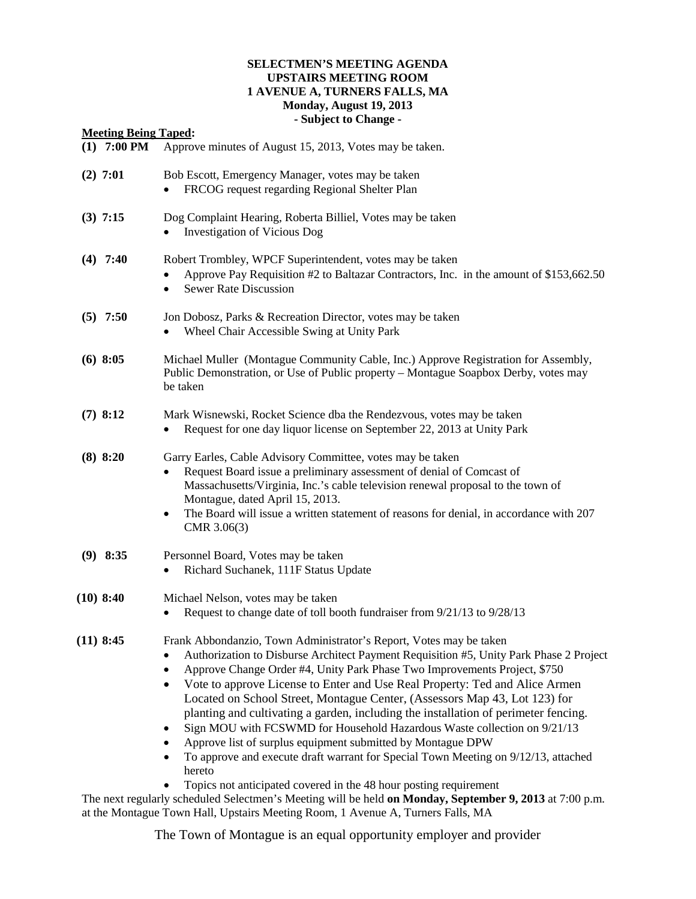## **SELECTMEN'S MEETING AGENDA UPSTAIRS MEETING ROOM 1 AVENUE A, TURNERS FALLS, MA Monday, August 19, 2013 - Subject to Change -**

**Meeting Being Taped:**

# **(1) 7:00 PM** Approve minutes of August 15, 2013, Votes may be taken. **(2) 7:01** Bob Escott, Emergency Manager, votes may be taken • FRCOG request regarding Regional Shelter Plan **(3) 7:15** Dog Complaint Hearing, Roberta Billiel, Votes may be taken • Investigation of Vicious Dog **(4) 7:40** Robert Trombley, WPCF Superintendent, votes may be taken • Approve Pay Requisition #2 to Baltazar Contractors, Inc. in the amount of \$153,662.50 Sewer Rate Discussion **(5) 7:50** Jon Dobosz, Parks & Recreation Director, votes may be taken • Wheel Chair Accessible Swing at Unity Park **(6) 8:05** Michael Muller (Montague Community Cable, Inc.) Approve Registration for Assembly, Public Demonstration, or Use of Public property – Montague Soapbox Derby, votes may be taken **(7) 8:12** Mark Wisnewski, Rocket Science dba the Rendezvous, votes may be taken • Request for one day liquor license on September 22, 2013 at Unity Park **(8) 8:20** Garry Earles, Cable Advisory Committee, votes may be taken • Request Board issue a preliminary assessment of denial of Comcast of Massachusetts/Virginia, Inc.'s cable television renewal proposal to the town of Montague, dated April 15, 2013. • The Board will issue a written statement of reasons for denial, in accordance with 207 CMR 3.06(3) **(9) 8:35** Personnel Board, Votes may be taken • Richard Suchanek, 111F Status Update **(10) 8:40** Michael Nelson, votes may be taken • Request to change date of toll booth fundraiser from 9/21/13 to 9/28/13

## **(11) 8:45** Frank Abbondanzio, Town Administrator's Report, Votes may be taken

- Authorization to Disburse Architect Payment Requisition #5, Unity Park Phase 2 Project
- Approve Change Order #4, Unity Park Phase Two Improvements Project, \$750
- Vote to approve License to Enter and Use Real Property: Ted and Alice Armen Located on School Street, Montague Center, (Assessors Map 43, Lot 123) for planting and cultivating a garden, including the installation of perimeter fencing.
- Sign MOU with FCSWMD for Household Hazardous Waste collection on 9/21/13
- Approve list of surplus equipment submitted by Montague DPW
- To approve and execute draft warrant for Special Town Meeting on 9/12/13, attached hereto
	- Topics not anticipated covered in the 48 hour posting requirement

The next regularly scheduled Selectmen's Meeting will be held **on Monday, September 9, 2013** at 7:00 p.m. at the Montague Town Hall, Upstairs Meeting Room, 1 Avenue A, Turners Falls, MA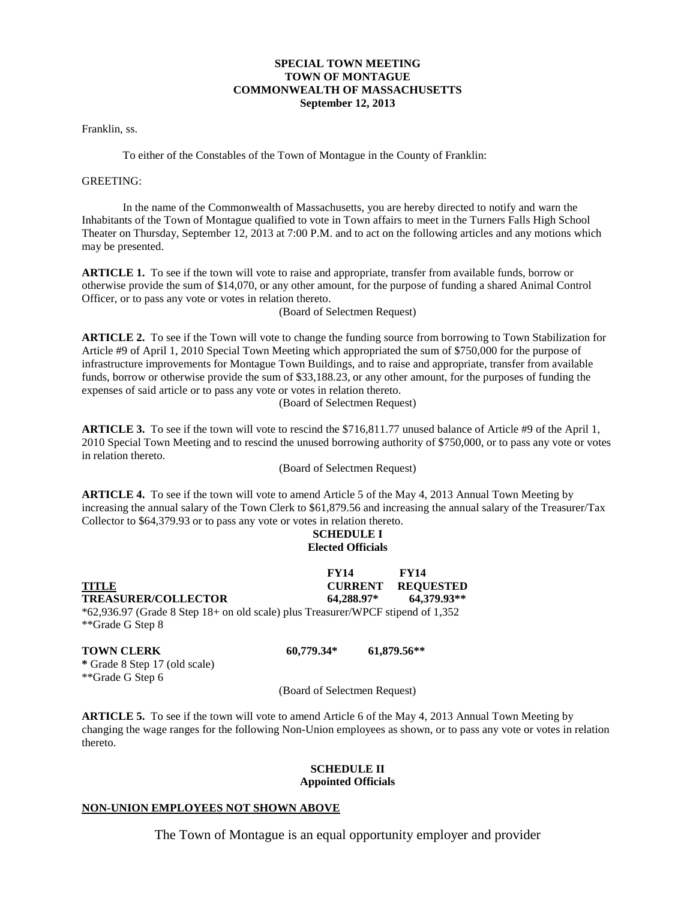## **SPECIAL TOWN MEETING TOWN OF MONTAGUE COMMONWEALTH OF MASSACHUSETTS September 12, 2013**

Franklin, ss.

To either of the Constables of the Town of Montague in the County of Franklin:

## GREETING:

In the name of the Commonwealth of Massachusetts, you are hereby directed to notify and warn the Inhabitants of the Town of Montague qualified to vote in Town affairs to meet in the Turners Falls High School Theater on Thursday, September 12, 2013 at 7:00 P.M. and to act on the following articles and any motions which may be presented.

**ARTICLE 1.** To see if the town will vote to raise and appropriate, transfer from available funds, borrow or otherwise provide the sum of \$14,070, or any other amount, for the purpose of funding a shared Animal Control Officer, or to pass any vote or votes in relation thereto.

(Board of Selectmen Request)

**ARTICLE 2.** To see if the Town will vote to change the funding source from borrowing to Town Stabilization for Article #9 of April 1, 2010 Special Town Meeting which appropriated the sum of \$750,000 for the purpose of infrastructure improvements for Montague Town Buildings, and to raise and appropriate, transfer from available funds, borrow or otherwise provide the sum of \$33,188.23, or any other amount, for the purposes of funding the expenses of said article or to pass any vote or votes in relation thereto. (Board of Selectmen Request)

**ARTICLE 3.** To see if the town will vote to rescind the \$716,811.77 unused balance of Article #9 of the April 1, 2010 Special Town Meeting and to rescind the unused borrowing authority of \$750,000, or to pass any vote or votes in relation thereto.

(Board of Selectmen Request)

**ARTICLE 4.** To see if the town will vote to amend Article 5 of the May 4, 2013 Annual Town Meeting by increasing the annual salary of the Town Clerk to \$61,879.56 and increasing the annual salary of the Treasurer/Tax Collector to \$64,379.93 or to pass any vote or votes in relation thereto.

## **SCHEDULE I Elected Officials**

 **FY14 FY14 TITLE CURRENT REQUESTED TREASURER/COLLECTOR 64,288.97\* 64,379.93\*\*** \*62,936.97 (Grade 8 Step 18+ on old scale) plus Treasurer/WPCF stipend of 1,352 \*\*Grade G Step 8

**TOWN CLERK 60,779.34\* 61,879.56\*\* \*** Grade 8 Step 17 (old scale) \*\*Grade G Step 6

(Board of Selectmen Request)

**ARTICLE 5.** To see if the town will vote to amend Article 6 of the May 4, 2013 Annual Town Meeting by changing the wage ranges for the following Non-Union employees as shown, or to pass any vote or votes in relation thereto.

#### **SCHEDULE II Appointed Officials**

## **NON-UNION EMPLOYEES NOT SHOWN ABOVE**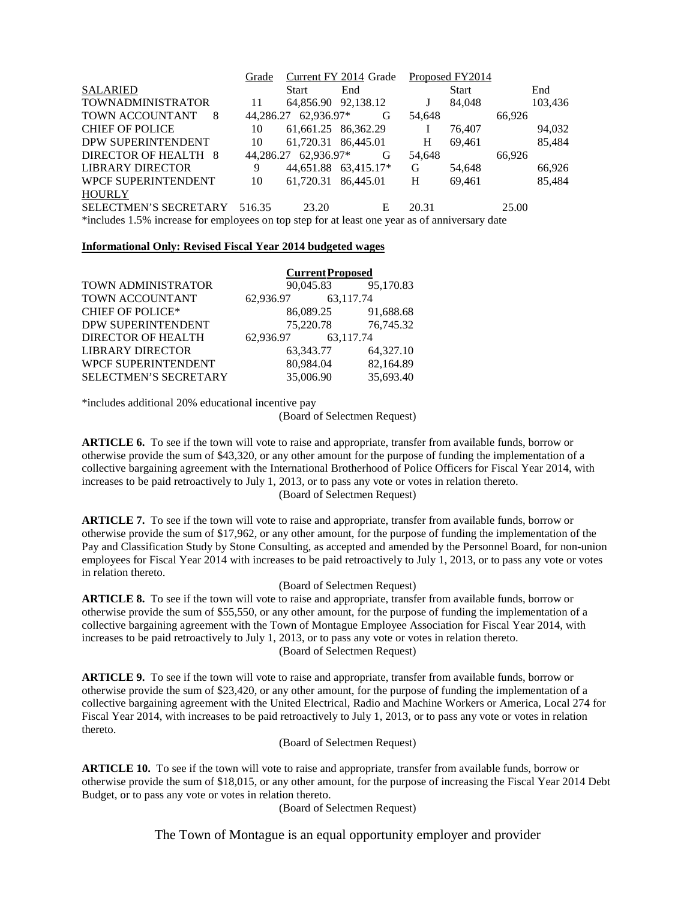|                                                                                                | Current FY 2014 Grade<br>Grade |                     | Proposed FY2014      |        |              |        |         |  |
|------------------------------------------------------------------------------------------------|--------------------------------|---------------------|----------------------|--------|--------------|--------|---------|--|
| <b>SALARIED</b>                                                                                |                                | Start               | End                  |        | <b>Start</b> |        | End     |  |
| <b>TOWNADMINISTRATOR</b>                                                                       | 11                             |                     | 64,856.90 92,138.12  |        | 84,048       |        | 103,436 |  |
| <b>TOWN ACCOUNTANT</b><br>8                                                                    | 44.286.27                      | 62,936.97*          | G                    | 54,648 |              | 66,926 |         |  |
| <b>CHIEF OF POLICE</b>                                                                         | 10                             | 61,661.25 86,362.29 |                      |        | 76,407       |        | 94,032  |  |
| DPW SUPERINTENDENT                                                                             | 10                             | 61,720.31 86,445.01 |                      | H      | 69,461       |        | 85,484  |  |
| DIRECTOR OF HEALTH 8                                                                           | 44.286.27                      | 62.936.97*          | G                    | 54.648 |              | 66.926 |         |  |
| <b>LIBRARY DIRECTOR</b>                                                                        | 9                              |                     | 44,651.88 63,415.17* | G      | 54,648       |        | 66,926  |  |
| <b>WPCF SUPERINTENDENT</b>                                                                     | 10                             | 61,720.31 86,445.01 |                      | H      | 69,461       |        | 85,484  |  |
| <b>HOURLY</b>                                                                                  |                                |                     |                      |        |              |        |         |  |
| <b>SELECTMEN'S SECRETARY</b>                                                                   | 516.35                         | 23.20               | E                    | 20.31  |              | 25.00  |         |  |
| *includes 1.5% increase for employees on top step for at least one year as of anniversary date |                                |                     |                      |        |              |        |         |  |

## **Informational Only: Revised Fiscal Year 2014 budgeted wages**

|                            | <b>Current Proposed</b> |           |           |  |  |
|----------------------------|-------------------------|-----------|-----------|--|--|
| TOWN ADMINISTRATOR         | 90,045.83               |           | 95,170.83 |  |  |
| <b>TOWN ACCOUNTANT</b>     | 62,936.97               | 63.117.74 |           |  |  |
| <b>CHIEF OF POLICE*</b>    | 86,089.25               |           | 91,688.68 |  |  |
| DPW SUPERINTENDENT         | 75,220.78               |           | 76,745.32 |  |  |
| <b>DIRECTOR OF HEALTH</b>  | 62,936.97               | 63.117.74 |           |  |  |
| <b>LIBRARY DIRECTOR</b>    | 63,343.77               |           | 64,327.10 |  |  |
| <b>WPCF SUPERINTENDENT</b> | 80,984.04               |           | 82,164.89 |  |  |
| SELECTMEN'S SECRETARY      | 35,006.90               |           | 35,693.40 |  |  |

\*includes additional 20% educational incentive pay

(Board of Selectmen Request)

**ARTICLE 6.** To see if the town will vote to raise and appropriate, transfer from available funds, borrow or otherwise provide the sum of \$43,320, or any other amount for the purpose of funding the implementation of a collective bargaining agreement with the International Brotherhood of Police Officers for Fiscal Year 2014, with increases to be paid retroactively to July 1, 2013, or to pass any vote or votes in relation thereto. (Board of Selectmen Request)

**ARTICLE 7.** To see if the town will vote to raise and appropriate, transfer from available funds, borrow or otherwise provide the sum of \$17,962, or any other amount, for the purpose of funding the implementation of the Pay and Classification Study by Stone Consulting, as accepted and amended by the Personnel Board, for non-union employees for Fiscal Year 2014 with increases to be paid retroactively to July 1, 2013, or to pass any vote or votes in relation thereto.

## (Board of Selectmen Request)

**ARTICLE 8.** To see if the town will vote to raise and appropriate, transfer from available funds, borrow or otherwise provide the sum of \$55,550, or any other amount, for the purpose of funding the implementation of a collective bargaining agreement with the Town of Montague Employee Association for Fiscal Year 2014, with increases to be paid retroactively to July 1, 2013, or to pass any vote or votes in relation thereto. (Board of Selectmen Request)

**ARTICLE 9.** To see if the town will vote to raise and appropriate, transfer from available funds, borrow or otherwise provide the sum of \$23,420, or any other amount, for the purpose of funding the implementation of a collective bargaining agreement with the United Electrical, Radio and Machine Workers or America, Local 274 for Fiscal Year 2014, with increases to be paid retroactively to July 1, 2013, or to pass any vote or votes in relation thereto.

(Board of Selectmen Request)

**ARTICLE 10.** To see if the town will vote to raise and appropriate, transfer from available funds, borrow or otherwise provide the sum of \$18,015, or any other amount, for the purpose of increasing the Fiscal Year 2014 Debt Budget, or to pass any vote or votes in relation thereto.

(Board of Selectmen Request)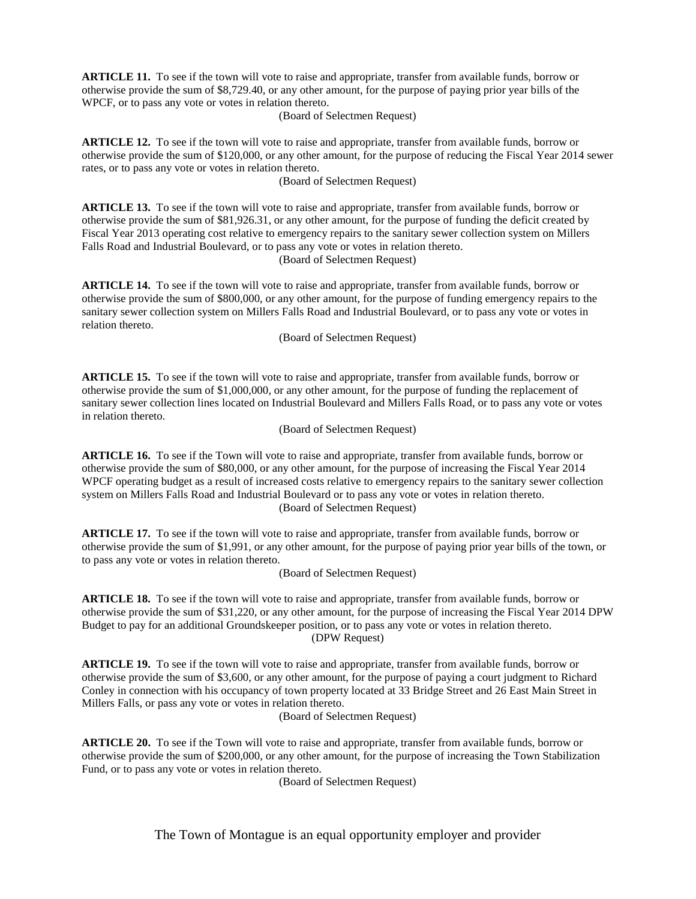**ARTICLE 11.** To see if the town will vote to raise and appropriate, transfer from available funds, borrow or otherwise provide the sum of \$8,729.40, or any other amount, for the purpose of paying prior year bills of the WPCF, or to pass any vote or votes in relation thereto.

(Board of Selectmen Request)

**ARTICLE 12.** To see if the town will vote to raise and appropriate, transfer from available funds, borrow or otherwise provide the sum of \$120,000, or any other amount, for the purpose of reducing the Fiscal Year 2014 sewer rates, or to pass any vote or votes in relation thereto.

(Board of Selectmen Request)

**ARTICLE 13.** To see if the town will vote to raise and appropriate, transfer from available funds, borrow or otherwise provide the sum of \$81,926.31, or any other amount, for the purpose of funding the deficit created by Fiscal Year 2013 operating cost relative to emergency repairs to the sanitary sewer collection system on Millers Falls Road and Industrial Boulevard, or to pass any vote or votes in relation thereto. (Board of Selectmen Request)

**ARTICLE 14.** To see if the town will vote to raise and appropriate, transfer from available funds, borrow or otherwise provide the sum of \$800,000, or any other amount, for the purpose of funding emergency repairs to the sanitary sewer collection system on Millers Falls Road and Industrial Boulevard, or to pass any vote or votes in relation thereto.

(Board of Selectmen Request)

**ARTICLE 15.** To see if the town will vote to raise and appropriate, transfer from available funds, borrow or otherwise provide the sum of \$1,000,000, or any other amount, for the purpose of funding the replacement of sanitary sewer collection lines located on Industrial Boulevard and Millers Falls Road, or to pass any vote or votes in relation thereto.

(Board of Selectmen Request)

**ARTICLE 16.** To see if the Town will vote to raise and appropriate, transfer from available funds, borrow or otherwise provide the sum of \$80,000, or any other amount, for the purpose of increasing the Fiscal Year 2014 WPCF operating budget as a result of increased costs relative to emergency repairs to the sanitary sewer collection system on Millers Falls Road and Industrial Boulevard or to pass any vote or votes in relation thereto. (Board of Selectmen Request)

**ARTICLE 17.** To see if the town will vote to raise and appropriate, transfer from available funds, borrow or otherwise provide the sum of \$1,991, or any other amount, for the purpose of paying prior year bills of the town, or to pass any vote or votes in relation thereto.

(Board of Selectmen Request)

**ARTICLE 18.** To see if the town will vote to raise and appropriate, transfer from available funds, borrow or otherwise provide the sum of \$31,220, or any other amount, for the purpose of increasing the Fiscal Year 2014 DPW Budget to pay for an additional Groundskeeper position, or to pass any vote or votes in relation thereto. (DPW Request)

**ARTICLE 19.** To see if the town will vote to raise and appropriate, transfer from available funds, borrow or otherwise provide the sum of \$3,600, or any other amount, for the purpose of paying a court judgment to Richard Conley in connection with his occupancy of town property located at 33 Bridge Street and 26 East Main Street in Millers Falls, or pass any vote or votes in relation thereto.

(Board of Selectmen Request)

**ARTICLE 20.** To see if the Town will vote to raise and appropriate, transfer from available funds, borrow or otherwise provide the sum of \$200,000, or any other amount, for the purpose of increasing the Town Stabilization Fund, or to pass any vote or votes in relation thereto.

(Board of Selectmen Request)